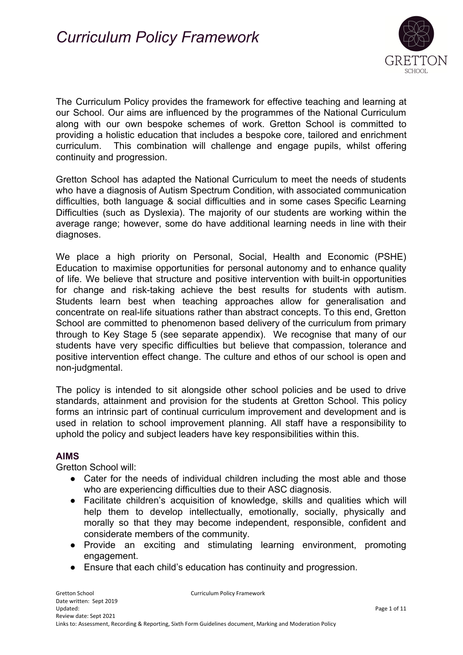

The Curriculum Policy provides the framework for effective teaching and learning at our School. Our aims are influenced by the programmes of the National Curriculum along with our own bespoke schemes of work. Gretton School is committed to providing a holistic education that includes a bespoke core, tailored and enrichment curriculum. This combination will challenge and engage pupils, whilst offering continuity and progression.

Gretton School has adapted the National Curriculum to meet the needs of students who have a diagnosis of Autism Spectrum Condition, with associated communication difficulties, both language & social difficulties and in some cases Specific Learning Difficulties (such as Dyslexia). The majority of our students are working within the average range; however, some do have additional learning needs in line with their diagnoses.

We place a high priority on Personal, Social, Health and Economic (PSHE) Education to maximise opportunities for personal autonomy and to enhance quality of life. We believe that structure and positive intervention with built-in opportunities for change and risk-taking achieve the best results for students with autism. Students learn best when teaching approaches allow for generalisation and concentrate on real-life situations rather than abstract concepts. To this end, Gretton School are committed to phenomenon based delivery of the curriculum from primary through to Key Stage 5 (see separate appendix). We recognise that many of our students have very specific difficulties but believe that compassion, tolerance and positive intervention effect change. The culture and ethos of our school is open and non-judgmental.

The policy is intended to sit alongside other school policies and be used to drive standards, attainment and provision for the students at Gretton School. This policy forms an intrinsic part of continual curriculum improvement and development and is used in relation to school improvement planning. All staff have a responsibility to uphold the policy and subject leaders have key responsibilities within this.

#### **AIMS**

Gretton School will:

- Cater for the needs of individual children including the most able and those who are experiencing difficulties due to their ASC diagnosis.
- Facilitate children's acquisition of knowledge, skills and qualities which will help them to develop intellectually, emotionally, socially, physically and morally so that they may become independent, responsible, confident and considerate members of the community.
- Provide an exciting and stimulating learning environment, promoting engagement.
- Ensure that each child's education has continuity and progression.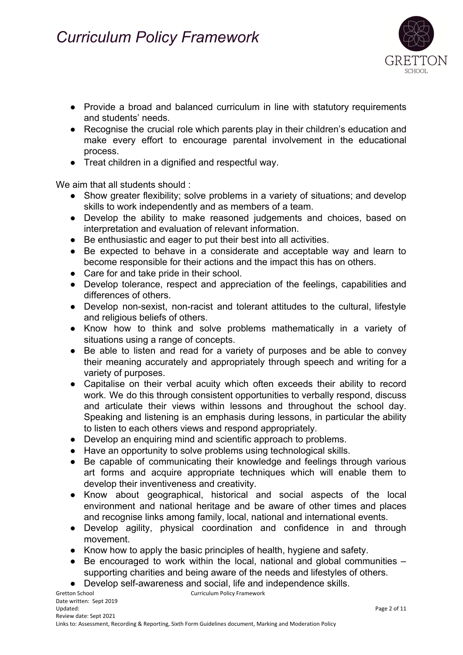

- Provide a broad and balanced curriculum in line with statutory requirements and students' needs.
- Recognise the crucial role which parents play in their children's education and make every effort to encourage parental involvement in the educational process.
- Treat children in a dignified and respectful way.

We aim that all students should :

- Show greater flexibility; solve problems in a variety of situations; and develop skills to work independently and as members of a team.
- Develop the ability to make reasoned judgements and choices, based on interpretation and evaluation of relevant information.
- Be enthusiastic and eager to put their best into all activities.
- Be expected to behave in a considerate and acceptable way and learn to become responsible for their actions and the impact this has on others.
- Care for and take pride in their school.
- Develop tolerance, respect and appreciation of the feelings, capabilities and differences of others.
- Develop non-sexist, non-racist and tolerant attitudes to the cultural, lifestyle and religious beliefs of others.
- Know how to think and solve problems mathematically in a variety of situations using a range of concepts.
- Be able to listen and read for a variety of purposes and be able to convey their meaning accurately and appropriately through speech and writing for a variety of purposes.
- Capitalise on their verbal acuity which often exceeds their ability to record work. We do this through consistent opportunities to verbally respond, discuss and articulate their views within lessons and throughout the school day. Speaking and listening is an emphasis during lessons, in particular the ability to listen to each others views and respond appropriately.
- Develop an enquiring mind and scientific approach to problems.
- Have an opportunity to solve problems using technological skills.
- Be capable of communicating their knowledge and feelings through various art forms and acquire appropriate techniques which will enable them to develop their inventiveness and creativity.
- Know about geographical, historical and social aspects of the local environment and national heritage and be aware of other times and places and recognise links among family, local, national and international events.
- Develop agility, physical coordination and confidence in and through movement.
- Know how to apply the basic principles of health, hygiene and safety.
- Be encouraged to work within the local, national and global communities supporting charities and being aware of the needs and lifestyles of others.
- Develop self-awareness and social, life and independence skills.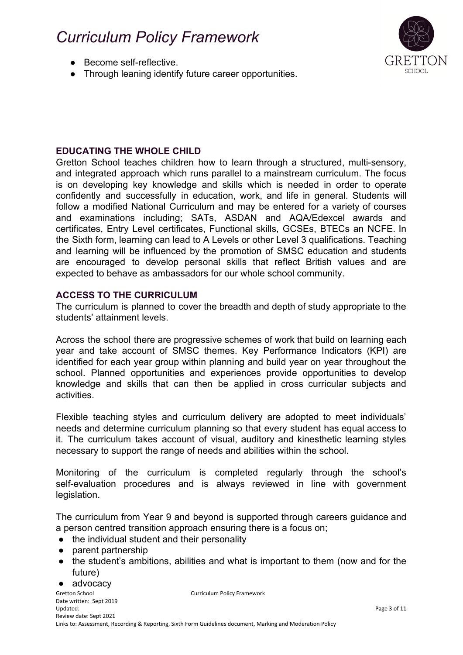- Become self-reflective.
- Through leaning identify future career opportunities.



### **EDUCATING THE WHOLE CHILD**

Gretton School teaches children how to learn through a structured, multi-sensory, and integrated approach which runs parallel to a mainstream curriculum. The focus is on developing key knowledge and skills which is needed in order to operate confidently and successfully in education, work, and life in general. Students will follow a modified National Curriculum and may be entered for a variety of courses and examinations including; SATs, ASDAN and AQA/Edexcel awards and certificates, Entry Level certificates, Functional skills, GCSEs, BTECs an NCFE. In the Sixth form, learning can lead to A Levels or other Level 3 qualifications. Teaching and learning will be influenced by the promotion of SMSC education and students are encouraged to develop personal skills that reflect British values and are expected to behave as ambassadors for our whole school community.

#### **ACCESS TO THE CURRICULUM**

The curriculum is planned to cover the breadth and depth of study appropriate to the students' attainment levels.

Across the school there are progressive schemes of work that build on learning each year and take account of SMSC themes. Key Performance Indicators (KPI) are identified for each year group within planning and build year on year throughout the school. Planned opportunities and experiences provide opportunities to develop knowledge and skills that can then be applied in cross curricular subjects and activities.

Flexible teaching styles and curriculum delivery are adopted to meet individuals' needs and determine curriculum planning so that every student has equal access to it. The curriculum takes account of visual, auditory and kinesthetic learning styles necessary to support the range of needs and abilities within the school.

Monitoring of the curriculum is completed regularly through the school's self-evaluation procedures and is always reviewed in line with government legislation.

The curriculum from Year 9 and beyond is supported through careers guidance and a person centred transition approach ensuring there is a focus on;

- the individual student and their personality
- parent partnership
- the student's ambitions, abilities and what is important to them (now and for the future)
- advocacy

Gretton School **Curriculum Policy Framework** Date written: Sept 2019 Updated: Page 3 of 11 Review date: Sept 2021 Links to: Assessment, Recording & Reporting, Sixth Form Guidelines document, Marking and Moderation Policy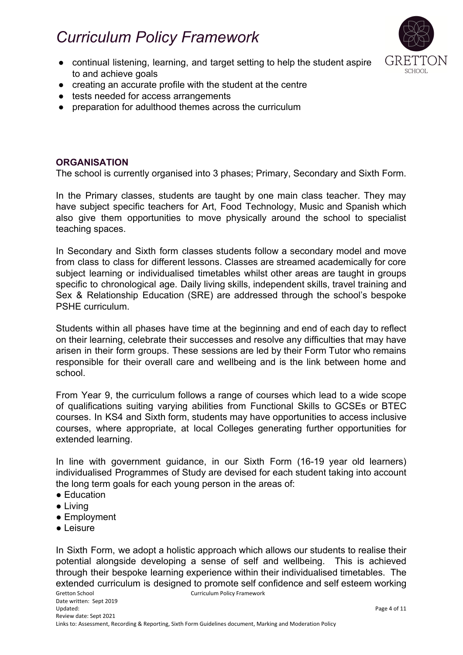

- continual listening, learning, and target setting to help the student aspire to and achieve goals
- creating an accurate profile with the student at the centre
- tests needed for access arrangements
- preparation for adulthood themes across the curriculum

### **ORGANISATION**

The school is currently organised into 3 phases; Primary, Secondary and Sixth Form.

In the Primary classes, students are taught by one main class teacher. They may have subject specific teachers for Art, Food Technology, Music and Spanish which also give them opportunities to move physically around the school to specialist teaching spaces.

In Secondary and Sixth form classes students follow a secondary model and move from class to class for different lessons. Classes are streamed academically for core subject learning or individualised timetables whilst other areas are taught in groups specific to chronological age. Daily living skills, independent skills, travel training and Sex & Relationship Education (SRE) are addressed through the school's bespoke PSHE curriculum.

Students within all phases have time at the beginning and end of each day to reflect on their learning, celebrate their successes and resolve any difficulties that may have arisen in their form groups. These sessions are led by their Form Tutor who remains responsible for their overall care and wellbeing and is the link between home and school.

From Year 9, the curriculum follows a range of courses which lead to a wide scope of qualifications suiting varying abilities from Functional Skills to GCSEs or BTEC courses. In KS4 and Sixth form, students may have opportunities to access inclusive courses, where appropriate, at local Colleges generating further opportunities for extended learning.

In line with government guidance, in our Sixth Form (16-19 year old learners) individualised Programmes of Study are devised for each student taking into account the long term goals for each young person in the areas of:

- Education
- Living
- Employment
- Leisure

In Sixth Form, we adopt a holistic approach which allows our students to realise their potential alongside developing a sense of self and wellbeing. This is achieved through their bespoke learning experience within their individualised timetables. The extended curriculum is designed to promote self confidence and self esteem working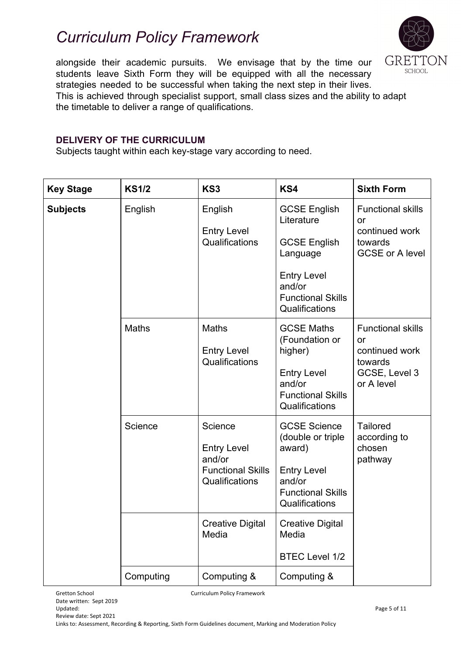

alongside their academic pursuits. We envisage that by the time our students leave Sixth Form they will be equipped with all the necessary strategies needed to be successful when taking the next step in their lives. This is achieved through specialist support, small class sizes and the ability to adapt the timetable to deliver a range of qualifications.

### **DELIVERY OF THE CURRICULUM**

Subjects taught within each key-stage vary according to need.

| <b>Key Stage</b> | <b>KS1/2</b> | KS3                                                                                   | KS4                                                                                                                                                | <b>Sixth Form</b>                                                                          |
|------------------|--------------|---------------------------------------------------------------------------------------|----------------------------------------------------------------------------------------------------------------------------------------------------|--------------------------------------------------------------------------------------------|
| <b>Subjects</b>  | English      | English<br><b>Entry Level</b><br>Qualifications                                       | <b>GCSE English</b><br>Literature<br><b>GCSE English</b><br>Language<br><b>Entry Level</b><br>and/or<br><b>Functional Skills</b><br>Qualifications | <b>Functional skills</b><br>or<br>continued work<br>towards<br><b>GCSE or A level</b>      |
|                  | <b>Maths</b> | <b>Maths</b><br><b>Entry Level</b><br>Qualifications                                  | <b>GCSE Maths</b><br>(Foundation or<br>higher)<br><b>Entry Level</b><br>and/or<br><b>Functional Skills</b><br>Qualifications                       | <b>Functional skills</b><br>or<br>continued work<br>towards<br>GCSE, Level 3<br>or A level |
|                  | Science      | Science<br><b>Entry Level</b><br>and/or<br><b>Functional Skills</b><br>Qualifications | <b>GCSE Science</b><br>(double or triple<br>award)<br><b>Entry Level</b><br>and/or<br><b>Functional Skills</b><br>Qualifications                   | <b>Tailored</b><br>according to<br>chosen<br>pathway                                       |
|                  |              | <b>Creative Digital</b><br>Media                                                      | <b>Creative Digital</b><br>Media<br><b>BTEC Level 1/2</b>                                                                                          |                                                                                            |
|                  | Computing    | Computing &                                                                           | Computing &                                                                                                                                        |                                                                                            |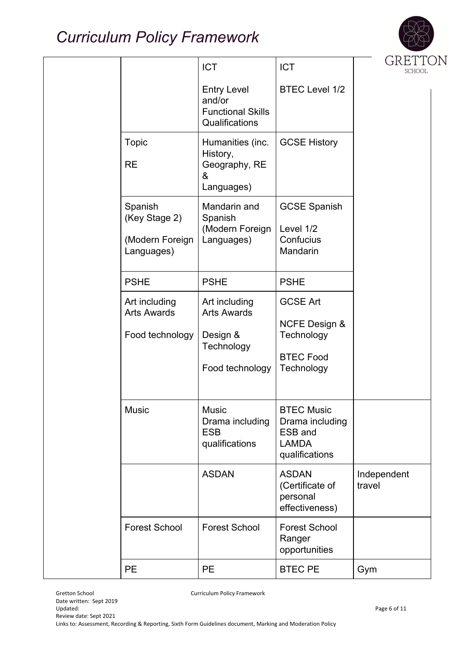

|                                                           | <b>ICT</b>                                                                       | <b>ICT</b>                                                                                  | GRETTC<br><b>SCHOOL</b> |
|-----------------------------------------------------------|----------------------------------------------------------------------------------|---------------------------------------------------------------------------------------------|-------------------------|
|                                                           | <b>Entry Level</b><br>and/or<br><b>Functional Skills</b><br>Qualifications       | <b>BTEC Level 1/2</b>                                                                       |                         |
| <b>Topic</b><br><b>RE</b>                                 | Humanities (inc.<br>History,<br>Geography, RE<br>&<br>Languages)                 | <b>GCSE History</b>                                                                         |                         |
| Spanish<br>(Key Stage 2)<br>(Modern Foreign<br>Languages) | Mandarin and<br>Spanish<br>(Modern Foreign<br>Languages)                         | <b>GCSE Spanish</b><br>Level 1/2<br>Confucius<br>Mandarin                                   |                         |
| <b>PSHE</b>                                               | <b>PSHE</b>                                                                      | <b>PSHE</b>                                                                                 |                         |
| Art including<br><b>Arts Awards</b><br>Food technology    | Art including<br><b>Arts Awards</b><br>Design &<br>Technology<br>Food technology | <b>GCSE Art</b><br><b>NCFE Design &amp;</b><br>Technology<br><b>BTEC Food</b><br>Technology |                         |
| <b>Music</b>                                              | <b>Music</b><br>Drama including<br><b>ESB</b><br>qualifications                  | <b>BTEC Music</b><br>Drama including<br>ESB and<br><b>LAMDA</b><br>qualifications           |                         |
|                                                           | <b>ASDAN</b>                                                                     | <b>ASDAN</b><br>(Certificate of<br>personal<br>effectiveness)                               | Independent<br>travel   |
| <b>Forest School</b>                                      | <b>Forest School</b>                                                             | <b>Forest School</b><br>Ranger<br>opportunities                                             |                         |
| <b>PE</b>                                                 | <b>PE</b>                                                                        | <b>BTEC PE</b>                                                                              | Gym                     |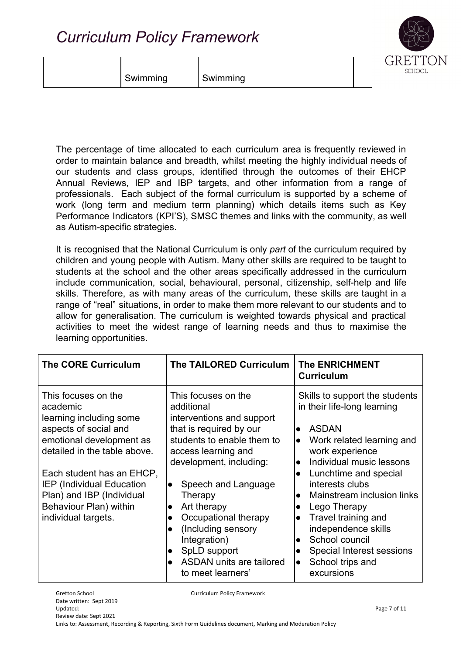| SCHOOI<br>Swimming<br>Swimming |  | _ |
|--------------------------------|--|---|
|--------------------------------|--|---|

The percentage of time allocated to each curriculum area is frequently reviewed in order to maintain balance and breadth, whilst meeting the highly individual needs of our students and class groups, identified through the outcomes of their EHCP Annual Reviews, IEP and IBP targets, and other information from a range of professionals. Each subject of the formal curriculum is supported by a scheme of work (long term and medium term planning) which details items such as Key Performance Indicators (KPI'S), SMSC themes and links with the community, as well as Autism-specific strategies.

It is recognised that the National Curriculum is only *part* of the curriculum required by children and young people with Autism. Many other skills are required to be taught to students at the school and the other areas specifically addressed in the curriculum include communication, social, behavioural, personal, citizenship, self-help and life skills. Therefore, as with many areas of the curriculum, these skills are taught in a range of "real" situations, in order to make them more relevant to our students and to allow for generalisation. The curriculum is weighted towards physical and practical activities to meet the widest range of learning needs and thus to maximise the learning opportunities.

| <b>The CORE Curriculum</b>                                                                                                                                                                                                                                                                     | <b>The TAILORED Curriculum</b>                                                                                                                                                                                                                                                                                                                                                                                                     | <b>The ENRICHMENT</b><br><b>Curriculum</b>                                                                                                                                                                                                                                                                                                                                                                                                                                          |
|------------------------------------------------------------------------------------------------------------------------------------------------------------------------------------------------------------------------------------------------------------------------------------------------|------------------------------------------------------------------------------------------------------------------------------------------------------------------------------------------------------------------------------------------------------------------------------------------------------------------------------------------------------------------------------------------------------------------------------------|-------------------------------------------------------------------------------------------------------------------------------------------------------------------------------------------------------------------------------------------------------------------------------------------------------------------------------------------------------------------------------------------------------------------------------------------------------------------------------------|
| This focuses on the<br>academic<br>learning including some<br>aspects of social and<br>emotional development as<br>detailed in the table above.<br>Each student has an EHCP,<br><b>IEP</b> (Individual Education<br>Plan) and IBP (Individual<br>Behaviour Plan) within<br>individual targets. | This focuses on the<br>additional<br>interventions and support<br>that is required by our<br>students to enable them to<br>access learning and<br>development, including:<br>Speech and Language<br>$\bullet$<br>Therapy<br>Art therapy<br>$\bullet$<br>Occupational therapy<br>$\bullet$<br>(Including sensory)<br>$\bullet$<br>Integration)<br>SpLD support<br>$\bullet$<br><b>ASDAN</b> units are tailored<br>to meet learners' | Skills to support the students<br>in their life-long learning<br><b>ASDAN</b><br>$\bullet$<br>Work related learning and<br>$\bullet$<br>work experience<br>Individual music lessons<br>$\bullet$<br>Lunchtime and special<br>$\bullet$<br>interests clubs<br>Mainstream inclusion links<br>$\bullet$<br>Lego Therapy<br>Travel training and<br>$\bullet$<br>independence skills<br>School council<br>$\bullet$<br>Special Interest sessions<br>School trips and<br>lo<br>excursions |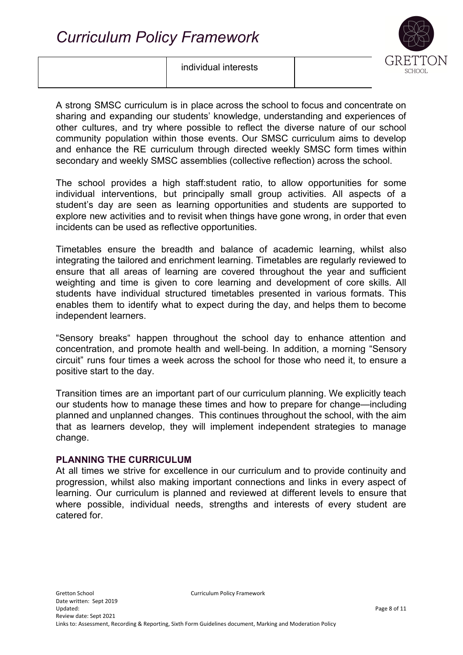### individual interests



A strong SMSC curriculum is in place across the school to focus and concentrate on sharing and expanding our students' knowledge, understanding and experiences of other cultures, and try where possible to reflect the diverse nature of our school community population within those events. Our SMSC curriculum aims to develop and enhance the RE curriculum through directed weekly SMSC form times within secondary and weekly SMSC assemblies (collective reflection) across the school.

The school provides a high staff:student ratio, to allow opportunities for some individual interventions, but principally small group activities. All aspects of a student's day are seen as learning opportunities and students are supported to explore new activities and to revisit when things have gone wrong, in order that even incidents can be used as reflective opportunities.

Timetables ensure the breadth and balance of academic learning, whilst also integrating the tailored and enrichment learning. Timetables are regularly reviewed to ensure that all areas of learning are covered throughout the year and sufficient weighting and time is given to core learning and development of core skills. All students have individual structured timetables presented in various formats. This enables them to identify what to expect during the day, and helps them to become independent learners.

"Sensory breaks" happen throughout the school day to enhance attention and concentration, and promote health and well-being. In addition, a morning "Sensory circuit" runs four times a week across the school for those who need it, to ensure a positive start to the day.

Transition times are an important part of our curriculum planning. We explicitly teach our students how to manage these times and how to prepare for change—including planned and unplanned changes. This continues throughout the school, with the aim that as learners develop, they will implement independent strategies to manage change.

### **PLANNING THE CURRICULUM**

At all times we strive for excellence in our curriculum and to provide continuity and progression, whilst also making important connections and links in every aspect of learning. Our curriculum is planned and reviewed at different levels to ensure that where possible, individual needs, strengths and interests of every student are catered for.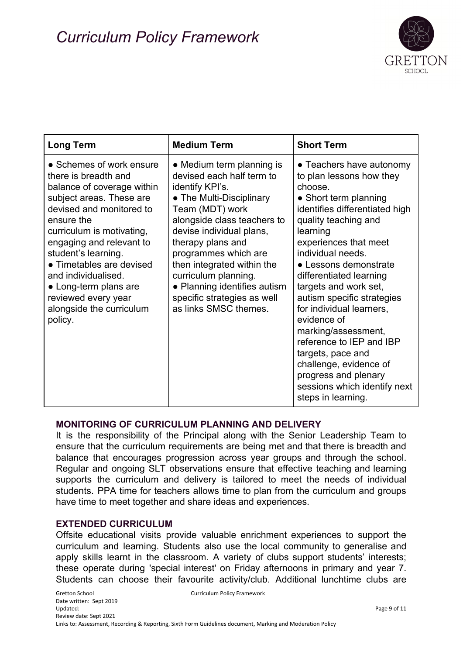

| <b>Long Term</b>                                                                                                                                                                                                                                                                                                                                                               | <b>Medium Term</b>                                                                                                                                                                                                                                                                                                                                                             | <b>Short Term</b>                                                                                                                                                                                                                                                                                                                                                                                                                                                                                                                                  |
|--------------------------------------------------------------------------------------------------------------------------------------------------------------------------------------------------------------------------------------------------------------------------------------------------------------------------------------------------------------------------------|--------------------------------------------------------------------------------------------------------------------------------------------------------------------------------------------------------------------------------------------------------------------------------------------------------------------------------------------------------------------------------|----------------------------------------------------------------------------------------------------------------------------------------------------------------------------------------------------------------------------------------------------------------------------------------------------------------------------------------------------------------------------------------------------------------------------------------------------------------------------------------------------------------------------------------------------|
| • Schemes of work ensure<br>there is breadth and<br>balance of coverage within<br>subject areas. These are<br>devised and monitored to<br>ensure the<br>curriculum is motivating,<br>engaging and relevant to<br>student's learning.<br>• Timetables are devised<br>and individualised.<br>• Long-term plans are<br>reviewed every year<br>alongside the curriculum<br>policy. | • Medium term planning is<br>devised each half term to<br>identify KPI's.<br>• The Multi-Disciplinary<br>Team (MDT) work<br>alongside class teachers to<br>devise individual plans,<br>therapy plans and<br>programmes which are<br>then integrated within the<br>curriculum planning.<br>• Planning identifies autism<br>specific strategies as well<br>as links SMSC themes. | • Teachers have autonomy<br>to plan lessons how they<br>choose.<br>• Short term planning<br>identifies differentiated high<br>quality teaching and<br>learning<br>experiences that meet<br>individual needs.<br>• Lessons demonstrate<br>differentiated learning<br>targets and work set,<br>autism specific strategies<br>for individual learners,<br>evidence of<br>marking/assessment,<br>reference to IEP and IBP<br>targets, pace and<br>challenge, evidence of<br>progress and plenary<br>sessions which identify next<br>steps in learning. |

### **MONITORING OF CURRICULUM PLANNING AND DELIVERY**

It is the responsibility of the Principal along with the Senior Leadership Team to ensure that the curriculum requirements are being met and that there is breadth and balance that encourages progression across year groups and through the school. Regular and ongoing SLT observations ensure that effective teaching and learning supports the curriculum and delivery is tailored to meet the needs of individual students. PPA time for teachers allows time to plan from the curriculum and groups have time to meet together and share ideas and experiences.

#### **EXTENDED CURRICULUM**

Offsite educational visits provide valuable enrichment experiences to support the curriculum and learning. Students also use the local community to generalise and apply skills learnt in the classroom. A variety of clubs support students' interests; these operate during 'special interest' on Friday afternoons in primary and year 7. Students can choose their favourite activity/club. Additional lunchtime clubs are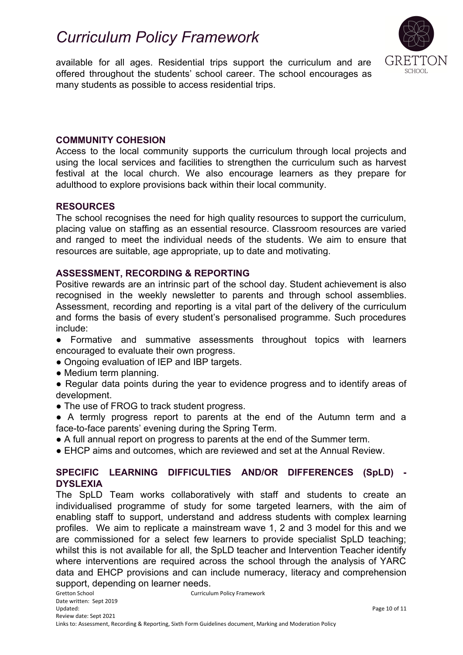SCHOOL

available for all ages. Residential trips support the curriculum and are offered throughout the students' school career. The school encourages as many students as possible to access residential trips.

### **COMMUNITY COHESION**

Access to the local community supports the curriculum through local projects and using the local services and facilities to strengthen the curriculum such as harvest festival at the local church. We also encourage learners as they prepare for adulthood to explore provisions back within their local community.

### **RESOURCES**

The school recognises the need for high quality resources to support the curriculum, placing value on staffing as an essential resource. Classroom resources are varied and ranged to meet the individual needs of the students. We aim to ensure that resources are suitable, age appropriate, up to date and motivating.

### **ASSESSMENT, RECORDING & REPORTING**

Positive rewards are an intrinsic part of the school day. Student achievement is also recognised in the weekly newsletter to parents and through school assemblies. Assessment, recording and reporting is a vital part of the delivery of the curriculum and forms the basis of every student's personalised programme. Such procedures include:

- Formative and summative assessments throughout topics with learners encouraged to evaluate their own progress.
- Ongoing evaluation of IEP and IBP targets.
- Medium term planning.
- Regular data points during the year to evidence progress and to identify areas of development.
- The use of FROG to track student progress.
- A termly progress report to parents at the end of the Autumn term and a face-to-face parents' evening during the Spring Term.
- A full annual report on progress to parents at the end of the Summer term.
- EHCP aims and outcomes, which are reviewed and set at the Annual Review.

### **SPECIFIC LEARNING DIFFICULTIES AND/OR DIFFERENCES (SpLD) - DYSLEXIA**

The SpLD Team works collaboratively with staff and students to create an individualised programme of study for some targeted learners, with the aim of enabling staff to support, understand and address students with complex learning profiles. We aim to replicate a mainstream wave 1, 2 and 3 model for this and we are commissioned for a select few learners to provide specialist SpLD teaching; whilst this is not available for all, the SpLD teacher and Intervention Teacher identify where interventions are required across the school through the analysis of YARC data and EHCP provisions and can include numeracy, literacy and comprehension support, depending on learner needs.